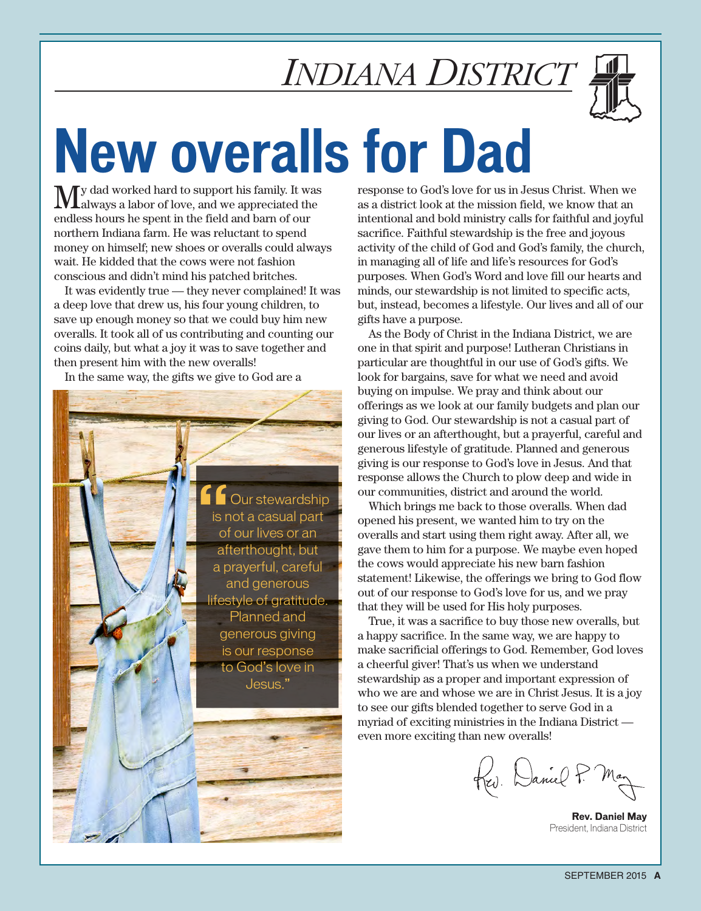

# **New overalls for Dad**

 $\bf{M}$ y dad worked hard to support his family. It was alabor of love, and we appreciated the endless hours he spent in the field and barn of our northern Indiana farm. He was reluctant to spend money on himself; new shoes or overalls could always wait. He kidded that the cows were not fashion conscious and didn't mind his patched britches.

It was evidently true — they never complained! It was a deep love that drew us, his four young children, to save up enough money so that we could buy him new overalls. It took all of us contributing and counting our coins daily, but what a joy it was to save together and then present him with the new overalls!

In the same way, the gifts we give to God are a



response to God's love for us in Jesus Christ. When we as a district look at the mission field, we know that an intentional and bold ministry calls for faithful and joyful sacrifice. Faithful stewardship is the free and joyous activity of the child of God and God's family, the church, in managing all of life and life's resources for God's purposes. When God's Word and love fill our hearts and minds, our stewardship is not limited to specific acts, but, instead, becomes a lifestyle. Our lives and all of our gifts have a purpose.

As the Body of Christ in the Indiana District, we are one in that spirit and purpose! Lutheran Christians in particular are thoughtful in our use of God's gifts. We look for bargains, save for what we need and avoid buying on impulse. We pray and think about our offerings as we look at our family budgets and plan our giving to God. Our stewardship is not a casual part of our lives or an afterthought, but a prayerful, careful and generous lifestyle of gratitude. Planned and generous giving is our response to God's love in Jesus. And that response allows the Church to plow deep and wide in our communities, district and around the world.

Which brings me back to those overalls. When dad opened his present, we wanted him to try on the overalls and start using them right away. After all, we gave them to him for a purpose. We maybe even hoped the cows would appreciate his new barn fashion statement! Likewise, the offerings we bring to God flow out of our response to God's love for us, and we pray that they will be used for His holy purposes.

True, it was a sacrifice to buy those new overalls, but a happy sacrifice. In the same way, we are happy to make sacrificial offerings to God. Remember, God loves a cheerful giver! That's us when we understand stewardship as a proper and important expression of who we are and whose we are in Christ Jesus. It is a joy to see our gifts blended together to serve God in a myriad of exciting ministries in the Indiana District even more exciting than new overalls!

Rev. Daniel P.

**Rev. Daniel May** President, Indiana District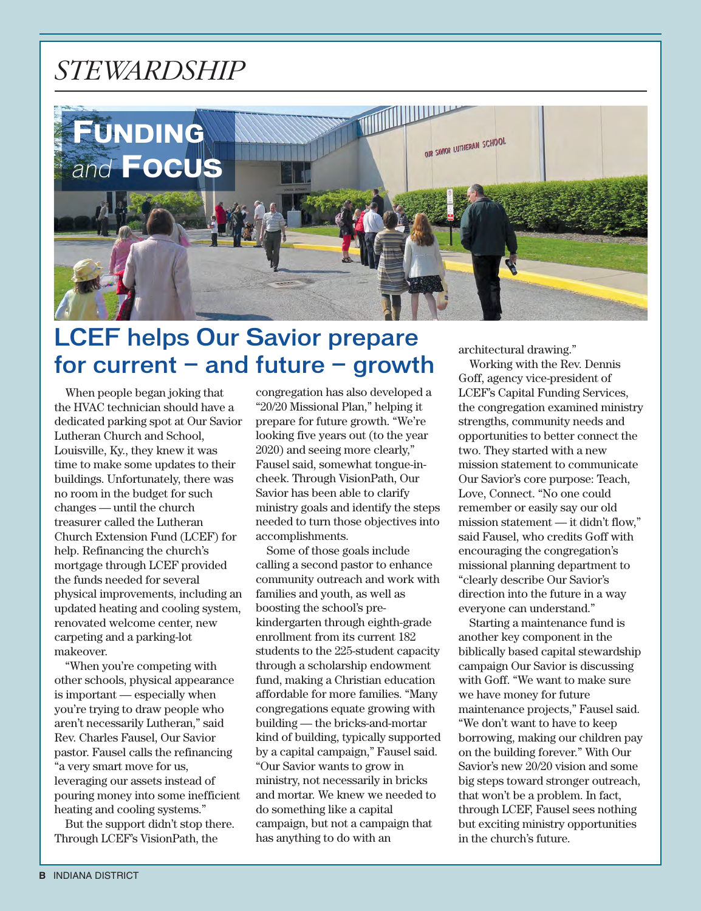### *stewardship*



### LCEF helps Our Savior prepare for current  $-$  and future  $-$  growth

When people began joking that the HVAC technician should have a dedicated parking spot at Our Savior Lutheran Church and School, Louisville, Ky., they knew it was time to make some updates to their buildings. Unfortunately, there was no room in the budget for such changes — until the church treasurer called the Lutheran Church Extension Fund (LCEF) for help. Refinancing the church's mortgage through LCEF provided the funds needed for several physical improvements, including an updated heating and cooling system, renovated welcome center, new carpeting and a parking-lot makeover.

"When you're competing with other schools, physical appearance is important — especially when you're trying to draw people who aren't necessarily Lutheran," said Rev. Charles Fausel, Our Savior pastor. Fausel calls the refinancing "a very smart move for us, leveraging our assets instead of pouring money into some inefficient heating and cooling systems."

But the support didn't stop there. Through LCEF's VisionPath, the

congregation has also developed a "20/20 Missional Plan," helping it prepare for future growth. "We're looking five years out (to the year 2020) and seeing more clearly," Fausel said, somewhat tongue-incheek. Through VisionPath, Our Savior has been able to clarify ministry goals and identify the steps needed to turn those objectives into accomplishments.

Some of those goals include calling a second pastor to enhance community outreach and work with families and youth, as well as boosting the school's prekindergarten through eighth-grade enrollment from its current 182 students to the 225-student capacity through a scholarship endowment fund, making a Christian education affordable for more families. "Many congregations equate growing with building — the bricks-and-mortar kind of building, typically supported by a capital campaign," Fausel said. "Our Savior wants to grow in ministry, not necessarily in bricks and mortar. We knew we needed to do something like a capital campaign, but not a campaign that has anything to do with an

architectural drawing."

Working with the Rev. Dennis Goff, agency vice-president of LCEF's Capital Funding Services, the congregation examined ministry strengths, community needs and opportunities to better connect the two. They started with a new mission statement to communicate Our Savior's core purpose: Teach, Love, Connect. "No one could remember or easily say our old mission statement — it didn't flow," said Fausel, who credits Goff with encouraging the congregation's missional planning department to "clearly describe Our Savior's direction into the future in a way everyone can understand."

Starting a maintenance fund is another key component in the biblically based capital stewardship campaign Our Savior is discussing with Goff. "We want to make sure we have money for future maintenance projects," Fausel said. "We don't want to have to keep borrowing, making our children pay on the building forever." With Our Savior's new 20/20 vision and some big steps toward stronger outreach, that won't be a problem. In fact, through LCEF, Fausel sees nothing but exciting ministry opportunities in the church's future.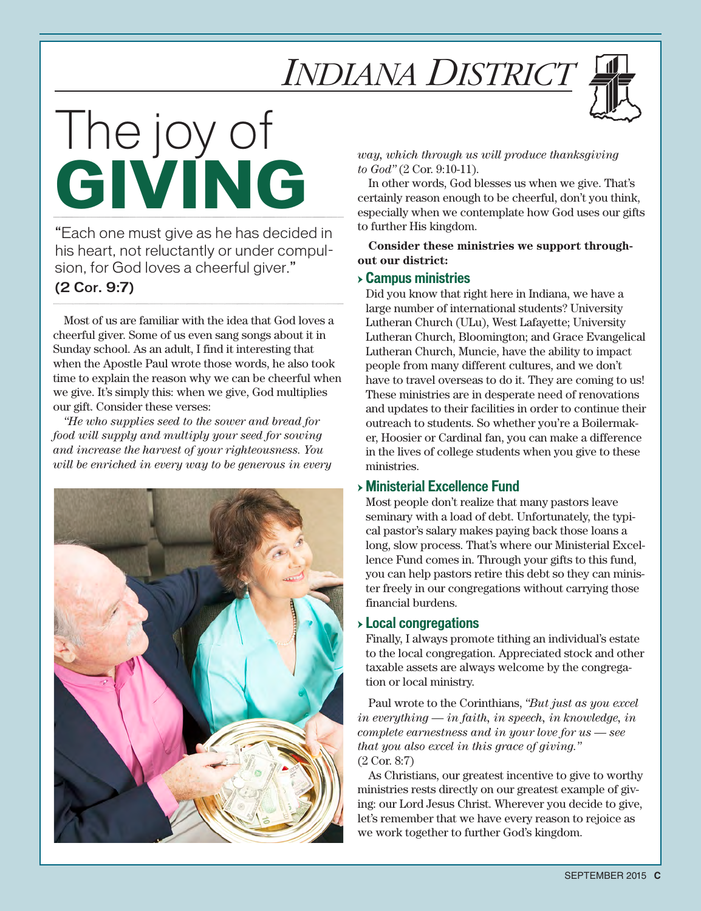

# The joy of **GIVING**

"Each one must give as he has decided in his heart, not reluctantly or under compulsion, for God loves a cheerful giver."

### (2 Cor. 9:7)

Most of us are familiar with the idea that God loves a cheerful giver. Some of us even sang songs about it in Sunday school. As an adult, I find it interesting that when the Apostle Paul wrote those words, he also took time to explain the reason why we can be cheerful when we give. It's simply this: when we give, God multiplies our gift. Consider these verses:

*"He who supplies seed to the sower and bread for food will supply and multiply your seed for sowing and increase the harvest of your righteousness. You will be enriched in every way to be generous in every* 



*way, which through us will produce thanksgiving to God"* (2 Cor. 9:10-11).

In other words, God blesses us when we give. That's certainly reason enough to be cheerful, don't you think, especially when we contemplate how God uses our gifts to further His kingdom.

**Consider these ministries we support throughout our district:**

#### → **Campus ministries**

Did you know that right here in Indiana, we have a large number of international students? University Lutheran Church (ULu), West Lafayette; University Lutheran Church, Bloomington; and Grace Evangelical Lutheran Church, Muncie, have the ability to impact people from many different cultures, and we don't have to travel overseas to do it. They are coming to us! These ministries are in desperate need of renovations and updates to their facilities in order to continue their outreach to students. So whether you're a Boilermaker, Hoosier or Cardinal fan, you can make a difference in the lives of college students when you give to these ministries.

### → **Ministerial Excellence Fund**

Most people don't realize that many pastors leave seminary with a load of debt. Unfortunately, the typical pastor's salary makes paying back those loans a long, slow process. That's where our Ministerial Excellence Fund comes in. Through your gifts to this fund, you can help pastors retire this debt so they can minister freely in our congregations without carrying those financial burdens.

#### → **Local congregations**

Finally, I always promote tithing an individual's estate to the local congregation. Appreciated stock and other taxable assets are always welcome by the congregation or local ministry.

Paul wrote to the Corinthians, *"But just as you excel in everything — in faith, in speech, in knowledge, in complete earnestness and in your love for us — see that you also excel in this grace of giving."* (2 Cor. 8:7)

As Christians, our greatest incentive to give to worthy ministries rests directly on our greatest example of giving: our Lord Jesus Christ. Wherever you decide to give, let's remember that we have every reason to rejoice as we work together to further God's kingdom.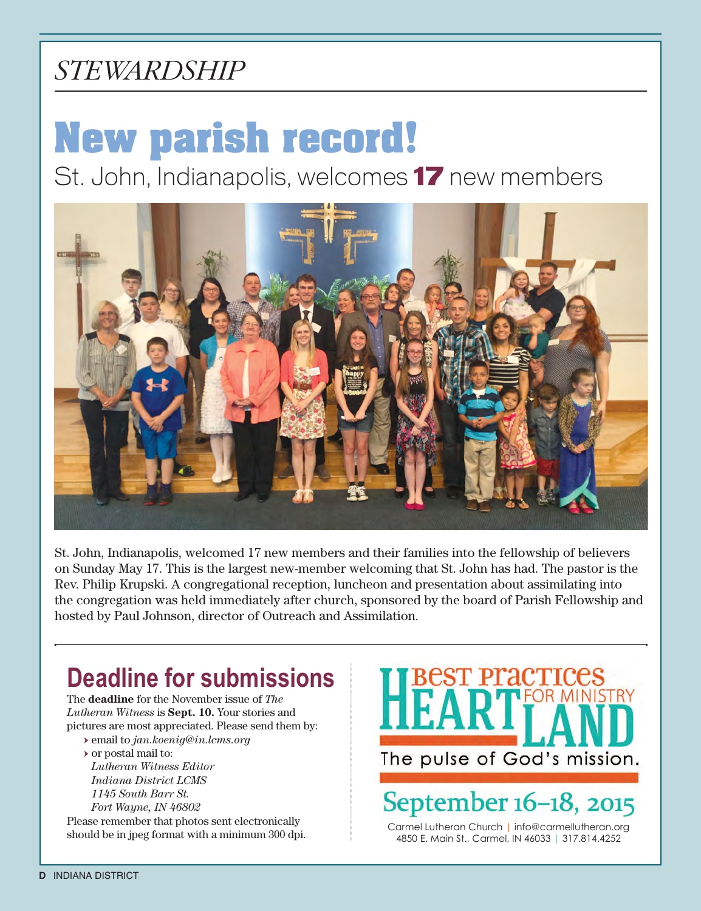### *stewardship*

# **New parish record!**

St. John, Indianapolis, welcomes **17** new members



St. John, Indianapolis, welcomed 17 new members and their families into the fellowship of believers on Sunday May 17. This is the largest new-member welcoming that St. John has had. The pastor is the Rev. Philip Krupski. A congregational reception, luncheon and presentation about assimilating into the congregation was held immediately after church, sponsored by the board of Parish Fellowship and hosted by Paul Johnson, director of Outreach and Assimilation.

### **Deadline for submissions**

The **deadline** for the November issue of *The Lutheran Witness* is **Sept. 10.** Your stories and pictures are most appreciated. Please send them by:

→ email to *jan.koenig@in.lcms.org*  → or postal mail to:

*Lutheran Witness Editor Indiana District LCMS 1145 South Barr St. Fort Wayne, IN 46802* 

Please remember that photos sent electronically should be in jpeg format with a minimum 300 dpi. The pulse of God's mission.

September 16-18, 2015

Carmel Lutheran Church | info@carmellutheran.org 4850 E. Main St., Carmel, IN 46033 | 317.814.4252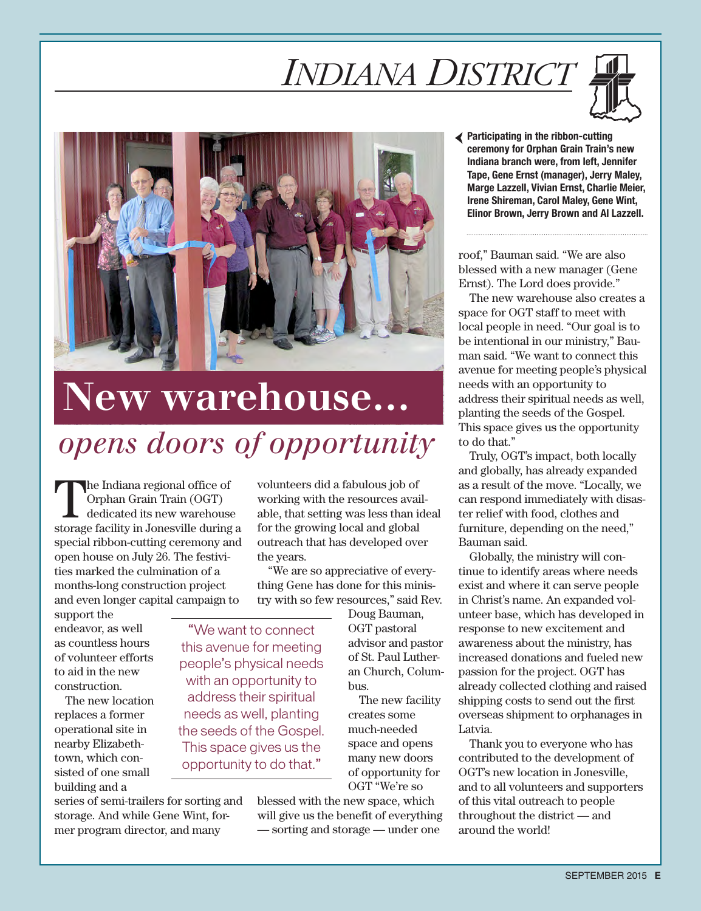



# *opens doors of opportunity* **New warehouse…**

This space gives us the opportunity to do that."

The Indiana regional office of<br>
Orphan Grain Train (OGT)<br>
dedicated its new warehouse Orphan Grain Train (OGT) storage facility in Jonesville during a special ribbon-cutting ceremony and open house on July 26. The festivities marked the culmination of a months-long construction project and even longer capital campaign to

support the endeavor, as well as countless hours of volunteer efforts to aid in the new construction.

The new location replaces a former operational site in nearby Elizabethtown, which consisted of one small building and a

series of semi-trailers for sorting and storage. And while Gene Wint, former program director, and many

volunteers did a fabulous job of working with the resources available, that setting was less than ideal for the growing local and global outreach that has developed over the years.

"We are so appreciative of everything Gene has done for this ministry with so few resources," said Rev.

Doug Bauman, OGT pastoral advisor and pastor of St. Paul Lutheran Church, Columbus. The new facility creates some "We want to connect this avenue for meeting people's physical needs with an opportunity to address their spiritual needs as well, planting the seeds of the Gospel.

much-needed space and opens many new doors of opportunity for OGT "We're so

blessed with the new space, which will give us the benefit of everything — sorting and storage — under one

Participating in the ribbon-cutting ceremony for Orphan Grain Train's new Indiana branch were, from left, Jennifer Tape, Gene Ernst (manager), Jerry Maley, Marge Lazzell, Vivian Ernst, Charlie Meier, Irene Shireman, Carol Maley, Gene Wint, Elinor Brown, Jerry Brown and Al Lazzell.

roof," Bauman said. "We are also blessed with a new manager (Gene Ernst). The Lord does provide."

The new warehouse also creates a space for OGT staff to meet with local people in need. "Our goal is to be intentional in our ministry," Bauman said. "We want to connect this avenue for meeting people's physical needs with an opportunity to address their spiritual needs as well, planting the seeds of the Gospel. This space gives us the opportunity to do that."

Truly, OGT's impact, both locally and globally, has already expanded as a result of the move. "Locally, we can respond immediately with disaster relief with food, clothes and furniture, depending on the need," Bauman said.

Globally, the ministry will continue to identify areas where needs exist and where it can serve people in Christ's name. An expanded volunteer base, which has developed in response to new excitement and awareness about the ministry, has increased donations and fueled new passion for the project. OGT has already collected clothing and raised shipping costs to send out the first overseas shipment to orphanages in Latvia.

Thank you to everyone who has contributed to the development of OGT's new location in Jonesville, and to all volunteers and supporters of this vital outreach to people throughout the district — and around the world!

SEPTEMBER 2015 **E**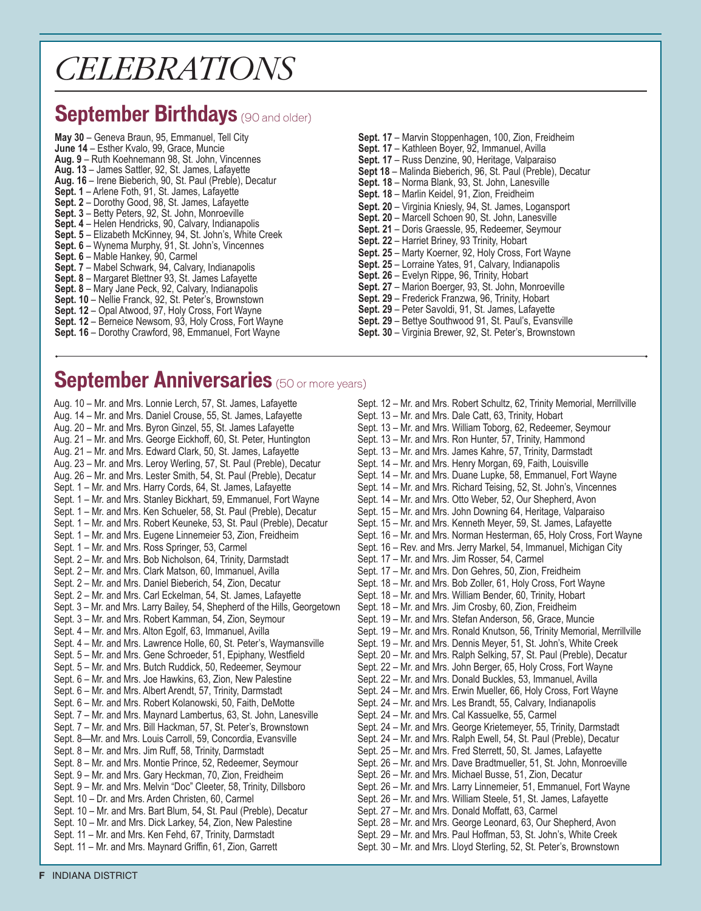## *CELEBRATIONS*

### **September Birthdays** (90 and older)

**May 30** – Geneva Braun, 95, Emmanuel, Tell City **June 14** – Esther Kvalo, 99, Grace, Muncie **Aug. 9** – Ruth Koehnemann 98, St. John, Vincennes **Aug. 13** – James Sattler, 92, St. James, Lafayette **Aug. 16** – Irene Bieberich, 90, St. Paul (Preble), Decatur **Sept. 1** – Arlene Foth, 91, St. James, Lafayette **Sept. 2** – Dorothy Good, 98, St. James, Lafayette **Sept. 3** – Betty Peters, 92, St. John, Monroeville **Sept. 4** – Helen Hendricks, 90, Calvary, Indianapolis **Sept. 5** – Elizabeth McKinney, 94, St. John's, White Creek **Sept. 6** – Wynema Murphy, 91, St. John's, Vincennes Sept. 6 – Mable Hankey, 90, Carmel **Sept. 7** – Mabel Schwark, 94, Calvary, Indianapolis **Sept. 8** – Margaret Blettner 93, St. James Lafayette **Sept. 8** – Mary Jane Peck, 92, Calvary, Indianapolis **Sept. 10** – Nellie Franck, 92, St. Peter's, Brownstown **Sept. 12** – Opal Atwood, 97, Holy Cross, Fort Wayne

- **Sept. 12** Berneice Newsom, 93, Holy Cross, Fort Wayne
- Sept. 16 Dorothy Crawford, 98, Emmanuel, Fort Wayne
- **Sept. 17**  Marvin Stoppenhagen, 100, Zion, Freidheim **Sept. 17** – Kathleen Boyer, 92, Immanuel, Avilla **Sept. 17** – Russ Denzine, 90, Heritage, Valparaiso **Sept 18** – Malinda Bieberich, 96, St. Paul (Preble), Decatur **Sept. 18** – Norma Blank, 93, St. John, Lanesville **Sept. 18** – Marlin Keidel, 91, Zion, Freidheim **Sept. 20** – Virginia Kniesly, 94, St. James, Logansport **Sept. 20** – Marcell Schoen 90, St. John, Lanesville **Sept. 21** – Doris Graessle, 95, Redeemer, Seymour **Sept. 22** – Harriet Briney, 93 Trinity, Hobart **Sept. 25** – Marty Koerner, 92, Holy Cross, Fort Wayne **Sept. 25** – Lorraine Yates, 91, Calvary, Indianapolis **Sept. 26** – Evelyn Rippe, 96, Trinity, Hobart **Sept. 27** – Marion Boerger, 93, St. John, Monroeville **Sept. 29** – Frederick Franzwa, 96, Trinity, Hobart
- 
- **Sept. 29** Peter Savoldi, 91, St. James, Lafayette
- **Sept. 29** Bettye Southwood 91, St. Paul's, Evansville **Sept. 30** – Virginia Brewer, 92, St. Peter's, Brownstown
- **September Anniversaries** (50 or more years)

Aug. 10 – Mr. and Mrs. Lonnie Lerch, 57, St. James, Lafayette Aug. 14 – Mr. and Mrs. Daniel Crouse, 55, St. James, Lafayette Aug. 20 – Mr. and Mrs. Byron Ginzel, 55, St. James Lafayette Aug. 21 – Mr. and Mrs. George Eickhoff, 60, St. Peter, Huntington Aug. 21 – Mr. and Mrs. Edward Clark, 50, St. James, Lafayette Aug. 23 – Mr. and Mrs. Leroy Werling, 57, St. Paul (Preble), Decatur Aug. 26 – Mr. and Mrs. Lester Smith, 54, St. Paul (Preble), Decatur Sept. 1 – Mr. and Mrs. Harry Cords, 64, St. James, Lafayette Sept. 1 – Mr. and Mrs. Stanley Bickhart, 59, Emmanuel, Fort Wayne Sept. 1 – Mr. and Mrs. Ken Schueler, 58, St. Paul (Preble), Decatur Sept. 1 – Mr. and Mrs. Robert Keuneke, 53, St. Paul (Preble), Decatur Sept. 1 – Mr. and Mrs. Eugene Linnemeier 53, Zion, Freidheim Sept. 1 – Mr. and Mrs. Ross Springer, 53, Carmel Sept. 2 – Mr. and Mrs. Bob Nicholson, 64, Trinity, Darmstadt Sept. 2 – Mr. and Mrs. Clark Matson, 60, Immanuel, Avilla Sept. 2 – Mr. and Mrs. Daniel Bieberich, 54, Zion, Decatur Sept. 2 – Mr. and Mrs. Carl Eckelman, 54, St. James, Lafayette Sept. 3 – Mr. and Mrs. Larry Bailey, 54, Shepherd of the Hills, Georgetown Sept. 3 – Mr. and Mrs. Robert Kamman, 54, Zion, Seymour Sept. 4 – Mr. and Mrs. Alton Egolf, 63, Immanuel, Avilla Sept. 4 – Mr. and Mrs. Lawrence Holle, 60, St. Peter's, Waymansville Sept. 5 – Mr. and Mrs. Gene Schroeder, 51, Epiphany, Westfield Sept. 5 – Mr. and Mrs. Butch Ruddick, 50, Redeemer, Seymour Sept. 6 – Mr. and Mrs. Joe Hawkins, 63, Zion, New Palestine Sept. 6 – Mr. and Mrs. Albert Arendt, 57, Trinity, Darmstadt Sept. 6 – Mr. and Mrs. Robert Kolanowski, 50, Faith, DeMotte Sept. 7 – Mr. and Mrs. Maynard Lambertus, 63, St. John, Lanesville Sept. 7 – Mr. and Mrs. Bill Hackman, 57, St. Peter's, Brownstown Sept. 8—Mr. and Mrs. Louis Carroll, 59, Concordia, Evansville Sept. 8 – Mr. and Mrs. Jim Ruff, 58, Trinity, Darmstadt Sept. 8 – Mr. and Mrs. Montie Prince, 52, Redeemer, Seymour Sept. 9 – Mr. and Mrs. Gary Heckman, 70, Zion, Freidheim Sept. 9 – Mr. and Mrs. Melvin "Doc" Cleeter, 58, Trinity, Dillsboro Sept. 10 – Dr. and Mrs. Arden Christen, 60, Carmel Sept. 10 – Mr. and Mrs. Bart Blum, 54, St. Paul (Preble), Decatur Sept. 10 – Mr. and Mrs. Dick Larkey, 54, Zion, New Palestine Sept. 11 – Mr. and Mrs. Ken Fehd, 67, Trinity, Darmstadt Sept. 11 – Mr. and Mrs. Maynard Griffin, 61, Zion, Garrett

Sept. 12 – Mr. and Mrs. Robert Schultz, 62, Trinity Memorial, Merrillville Sept. 13 – Mr. and Mrs. Dale Catt, 63, Trinity, Hobart Sept. 13 – Mr. and Mrs. William Toborg, 62, Redeemer, Seymour Sept. 13 – Mr. and Mrs. Ron Hunter, 57, Trinity, Hammond Sept. 13 – Mr. and Mrs. James Kahre, 57, Trinity, Darmstadt Sept. 14 – Mr. and Mrs. Henry Morgan, 69, Faith, Louisville Sept. 14 – Mr. and Mrs. Duane Lupke, 58, Emmanuel, Fort Wayne Sept. 14 – Mr. and Mrs. Richard Teising, 52, St. John's, Vincennes Sept. 14 – Mr. and Mrs. Otto Weber, 52, Our Shepherd, Avon Sept. 15 – Mr. and Mrs. John Downing 64, Heritage, Valparaiso Sept. 15 – Mr. and Mrs. Kenneth Meyer, 59, St. James, Lafayette Sept. 16 – Mr. and Mrs. Norman Hesterman, 65, Holy Cross, Fort Wayne Sept. 16 – Rev. and Mrs. Jerry Markel, 54, Immanuel, Michigan City Sept. 17 – Mr. and Mrs. Jim Rosser, 54, Carmel Sept. 17 – Mr. and Mrs. Don Gehres, 50, Zion, Freidheim Sept. 18 – Mr. and Mrs. Bob Zoller, 61, Holy Cross, Fort Wayne Sept. 18 – Mr. and Mrs. William Bender, 60, Trinity, Hobart Sept. 18 – Mr. and Mrs. Jim Crosby, 60, Zion, Freidheim Sept. 19 – Mr. and Mrs. Stefan Anderson, 56, Grace, Muncie Sept. 19 – Mr. and Mrs. Ronald Knutson, 56, Trinity Memorial, Merrillville Sept. 19 – Mr. and Mrs. Dennis Meyer, 51, St. John's, White Creek Sept. 20 – Mr. and Mrs. Ralph Selking, 57, St. Paul (Preble), Decatur Sept. 22 – Mr. and Mrs. John Berger, 65, Holy Cross, Fort Wayne Sept. 22 – Mr. and Mrs. Donald Buckles, 53, Immanuel, Avilla Sept. 24 – Mr. and Mrs. Erwin Mueller, 66, Holy Cross, Fort Wayne Sept. 24 – Mr. and Mrs. Les Brandt, 55, Calvary, Indianapolis Sept. 24 – Mr. and Mrs. Cal Kassuelke, 55, Carmel Sept. 24 – Mr. and Mrs. George Krietemeyer, 55, Trinity, Darmstadt Sept. 24 – Mr. and Mrs. Ralph Ewell, 54, St. Paul (Preble), Decatur Sept. 25 – Mr. and Mrs. Fred Sterrett, 50, St. James, Lafayette Sept. 26 – Mr. and Mrs. Dave Bradtmueller, 51, St. John, Monroeville Sept. 26 – Mr. and Mrs. Michael Busse, 51, Zion, Decatur Sept. 26 – Mr. and Mrs. Larry Linnemeier, 51, Emmanuel, Fort Wayne Sept. 26 – Mr. and Mrs. William Steele, 51, St. James, Lafayette Sept. 27 – Mr. and Mrs. Donald Moffatt, 63, Carmel Sept. 28 – Mr. and Mrs. George Leonard, 63, Our Shepherd, Avon Sept. 29 – Mr. and Mrs. Paul Hoffman, 53, St. John's, White Creek Sept. 30 – Mr. and Mrs. Lloyd Sterling, 52, St. Peter's, Brownstown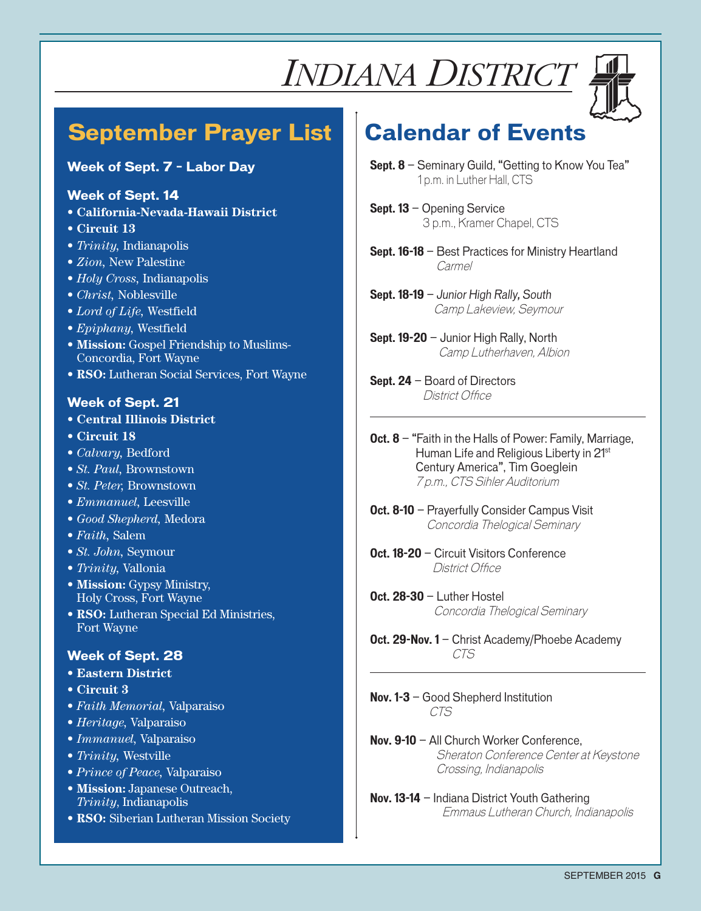

### **September Prayer List Calendar of Events**

### **Week of Sept. 7 – Labor Day**

#### **Week of Sept. 14**

- **• California-Nevada-Hawaii District**
- **• Circuit 13**
- *• Trinity,* Indianapolis
- *• Zion,* New Palestine
- *• Holy Cross,* Indianapolis
- *• Christ,* Noblesville
- *• Lord of Life,* Westfield
- *• Epiphany,* Westfield
- **• Mission:** Gospel Friendship to Muslims-Concordia, Fort Wayne
- **• RSO:** Lutheran Social Services, Fort Wayne

### **Week of Sept. 21**

- **• Central Illinois District**
- **• Circuit 18**
- *• Calvary,* Bedford
- *• St. Paul,* Brownstown
- *• St. Peter,* Brownstown
- *• Emmanuel,* Leesville
- *• Good Shepherd,* Medora
- *• Faith,* Salem
- *• St. John,* Seymour
- *• Trinity,* Vallonia
- **• Mission:** Gypsy Ministry, Holy Cross, Fort Wayne
- **• RSO:** Lutheran Special Ed Ministries, Fort Wayne

### **Week of Sept. 28**

- **• Eastern District**
- **• Circuit 3**
- *• Faith Memorial,* Valparaiso
- *• Heritage,* Valparaiso
- *• Immanuel,* Valparaiso
- *• Trinity,* Westville
- *• Prince of Peace,* Valparaiso
- **• Mission:** Japanese Outreach, *Trinity*, Indianapolis
- **• RSO:** Siberian Lutheran Mission Society

- **Sept. 8** Seminary Guild, "Getting to Know You Tea" 1 p.m. in Luther Hall, CTS
- **Sept. 13** Opening Service 3 p.m., Kramer Chapel, CTS
- **Sept. 16-18** Best Practices for Ministry Heartland Carmel
- **Sept. 18-19** *Junior High Rally, South* Camp Lakeview, Seymour
- **Sept. 19-20** Junior High Rally, North Camp Lutherhaven, Albion
- **Sept. 24** Board of Directors District Office
- **Oct. 8** "Faith in the Halls of Power: Family, Marriage, Human Life and Religious Liberty in 21<sup>st</sup> Century America", Tim Goeglein 7 p.m., CTS Sihler Auditorium
- **Oct. 8-10** Prayerfully Consider Campus Visit Concordia Thelogical Seminary
- **Oct. 18-20** Circuit Visitors Conference District Office
- **Oct. 28-30** Luther Hostel Concordia Thelogical Seminary
- **Oct. 29-Nov. 1** Christ Academy/Phoebe Academy CTS
- **Nov. 1-3**  Good Shepherd Institution CTS
- **Nov. 9-10** All Church Worker Conference, Sheraton Conference Center at Keystone Crossing, Indianapolis
- **Nov. 13-14**  Indiana District Youth Gathering Emmaus Lutheran Church, Indianapolis